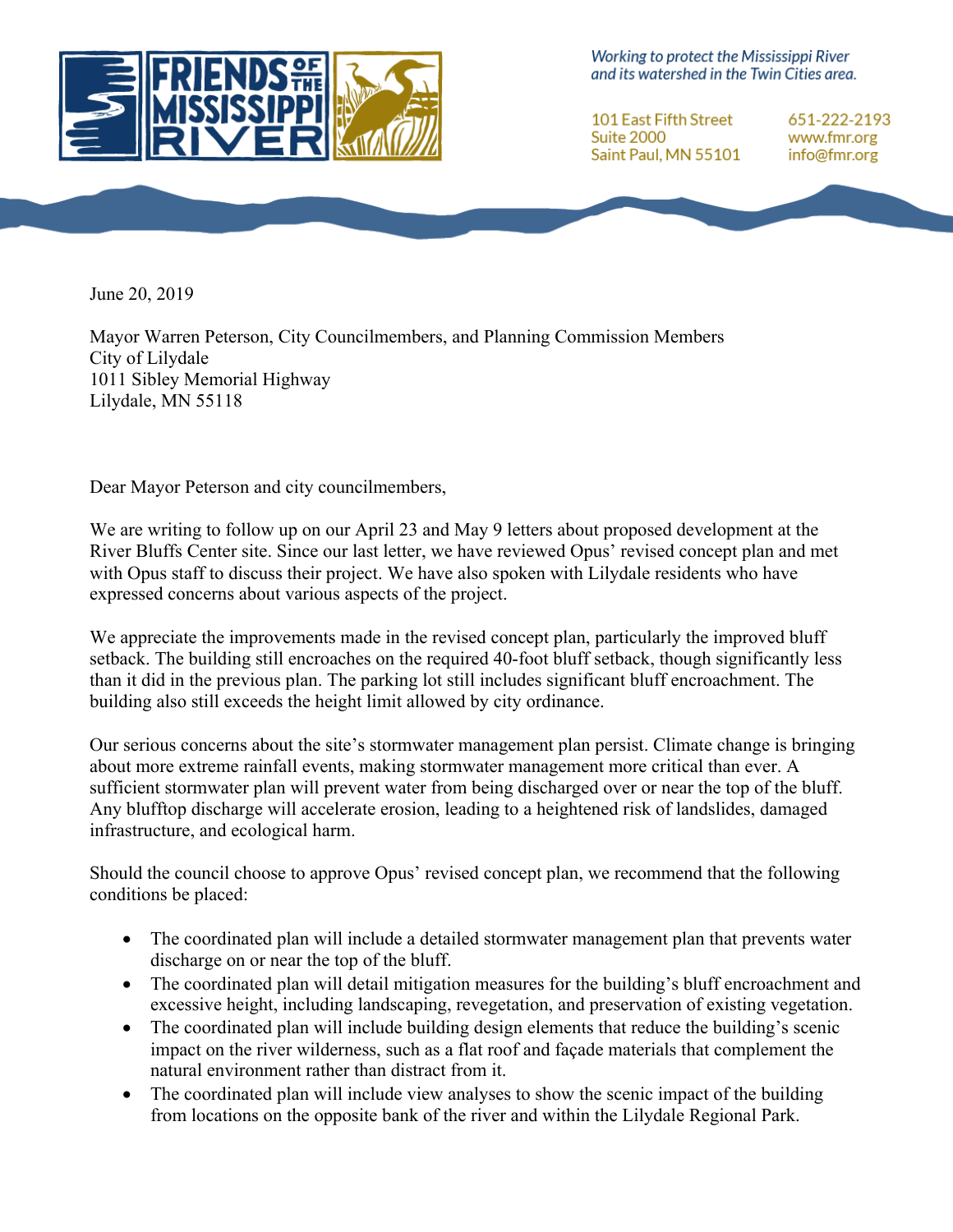

Working to protect the Mississippi River and its watershed in the Twin Cities area.

101 East Fifth Street Suite 2000 Saint Paul, MN 55101

651-222-2193 www.fmr.org info@fmr.org

June 20, 2019

Mayor Warren Peterson, City Councilmembers, and Planning Commission Members City of Lilydale 1011 Sibley Memorial Highway Lilydale, MN 55118

Dear Mayor Peterson and city councilmembers,

We are writing to follow up on our April 23 and May 9 letters about proposed development at the River Bluffs Center site. Since our last letter, we have reviewed Opus' revised concept plan and met with Opus staff to discuss their project. We have also spoken with Lilydale residents who have expressed concerns about various aspects of the project.

We appreciate the improvements made in the revised concept plan, particularly the improved bluff setback. The building still encroaches on the required 40-foot bluff setback, though significantly less than it did in the previous plan. The parking lot still includes significant bluff encroachment. The building also still exceeds the height limit allowed by city ordinance.

Our serious concerns about the site's stormwater management plan persist. Climate change is bringing about more extreme rainfall events, making stormwater management more critical than ever. A sufficient stormwater plan will prevent water from being discharged over or near the top of the bluff. Any blufftop discharge will accelerate erosion, leading to a heightened risk of landslides, damaged infrastructure, and ecological harm.

Should the council choose to approve Opus' revised concept plan, we recommend that the following conditions be placed:

- The coordinated plan will include a detailed stormwater management plan that prevents water discharge on or near the top of the bluff.
- The coordinated plan will detail mitigation measures for the building's bluff encroachment and excessive height, including landscaping, revegetation, and preservation of existing vegetation.
- The coordinated plan will include building design elements that reduce the building's scenic impact on the river wilderness, such as a flat roof and façade materials that complement the natural environment rather than distract from it.
- The coordinated plan will include view analyses to show the scenic impact of the building from locations on the opposite bank of the river and within the Lilydale Regional Park.